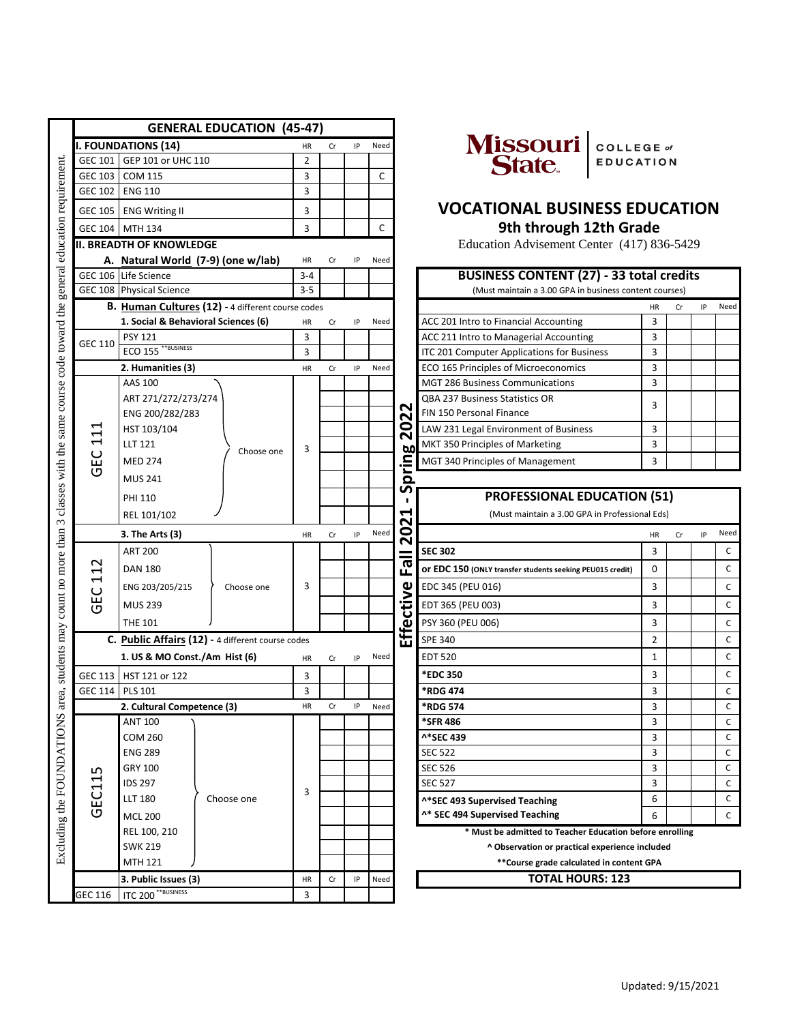|                                                            |                            |                                                       | <b>GENERAL EDUCATION (45-47)</b>    |                         |      |      |                |                                                         |                                                            |           |    |     |              |  |  |
|------------------------------------------------------------|----------------------------|-------------------------------------------------------|-------------------------------------|-------------------------|------|------|----------------|---------------------------------------------------------|------------------------------------------------------------|-----------|----|-----|--------------|--|--|
|                                                            |                            | <b>I. FOUNDATIONS (14)</b>                            | HR                                  | Cr                      | IP   | Need |                | Missouri  <br>State<br>COLLEGE of                       |                                                            |           |    |     |              |  |  |
|                                                            | GEC 101 GEP 101 or UHC 110 |                                                       |                                     |                         |      |      |                |                                                         | <b>EDUCATION</b>                                           |           |    |     |              |  |  |
| general education requirement                              | <b>GEC 103</b>             | <b>COM 115</b>                                        |                                     | 3                       |      |      | C              |                                                         |                                                            |           |    |     |              |  |  |
|                                                            |                            | GEC 102 ENG 110                                       |                                     | 3                       |      |      |                |                                                         |                                                            |           |    |     |              |  |  |
|                                                            | GEC 105 ENG Writing II     |                                                       |                                     | 3                       |      |      |                |                                                         | <b>VOCATIONAL BUSINESS EDUCATION</b>                       |           |    |     |              |  |  |
|                                                            |                            | GEC 104 MTH 134                                       |                                     | 3                       |      |      | C              |                                                         | 9th through 12th Grade                                     |           |    |     |              |  |  |
|                                                            |                            | <b>II. BREADTH OF KNOWLEDGE</b>                       |                                     |                         |      |      |                |                                                         | Education Advisement Center (417) 836-5429                 |           |    |     |              |  |  |
|                                                            |                            |                                                       | A. Natural World (7-9) (one w/lab)  | HR                      | Cr   | IP   | Need           |                                                         |                                                            |           |    |     |              |  |  |
|                                                            |                            | GEC 106 Life Science                                  |                                     | $3 - 4$                 |      |      |                |                                                         | <b>BUSINESS CONTENT (27) - 33 total credits</b>            |           |    |     |              |  |  |
|                                                            |                            | GEC 108 Physical Science                              |                                     | $3 - 5$                 |      |      |                |                                                         | (Must maintain a 3.00 GPA in business content courses)     |           |    |     |              |  |  |
|                                                            |                            | B. Human Cultures (12) - 4 different course codes     |                                     |                         |      |      |                |                                                         |                                                            | <b>HR</b> | Cr | IP  | Nee          |  |  |
|                                                            |                            |                                                       | 1. Social & Behavioral Sciences (6) | HR                      | Cr   | IP   | Need           |                                                         | ACC 201 Intro to Financial Accounting                      | 3         |    |     |              |  |  |
|                                                            | GEC 110                    | <b>PSY 121</b>                                        |                                     | 3                       |      |      |                |                                                         | ACC 211 Intro to Managerial Accounting                     | 3         |    |     |              |  |  |
|                                                            |                            | ECO 155 <sup>**BUSINESS</sup>                         |                                     | 3<br>HR                 | Cr   |      |                |                                                         | ITC 201 Computer Applications for Business                 | 3         |    |     |              |  |  |
|                                                            |                            |                                                       | 2. Humanities (3)                   |                         |      | IP   | Need           |                                                         | ECO 165 Principles of Microeconomics                       | 3         |    |     |              |  |  |
|                                                            |                            | AAS 100                                               |                                     |                         |      |      |                |                                                         | <b>MGT 286 Business Communications</b>                     | 3         |    |     |              |  |  |
|                                                            |                            | ART 271/272/273/274<br>ENG 200/282/283                |                                     |                         |      |      |                | N<br>N<br>$\mathbf{S}$<br>60<br>ε.<br>Τ<br>$\mathbf{Q}$ | QBA 237 Business Statistics OR<br>FIN 150 Personal Finance | 3         |    |     |              |  |  |
|                                                            | ⊣                          | HST 103/104                                           | Choose one                          |                         |      |      |                |                                                         | LAW 231 Legal Environment of Business                      | 3         |    |     |              |  |  |
|                                                            | $\mathbf{1}$               | <b>LLT 121</b>                                        |                                     |                         |      |      |                |                                                         | MKT 350 Principles of Marketing                            | 3         |    |     |              |  |  |
|                                                            | ٢C<br>ত                    | <b>MED 274</b>                                        |                                     | 3                       |      |      |                |                                                         | MGT 340 Principles of Management                           | 3         |    |     |              |  |  |
|                                                            |                            | <b>MUS 241</b>                                        |                                     |                         |      |      |                |                                                         |                                                            |           |    |     |              |  |  |
| classes with the same course code toward the<br>$\epsilon$ |                            |                                                       |                                     |                         |      |      |                | n                                                       | <b>PROFESSIONAL EDUCATION (51)</b>                         |           |    |     |              |  |  |
|                                                            |                            | <b>PHI 110</b>                                        |                                     |                         |      |      |                | ↤                                                       |                                                            |           |    |     |              |  |  |
|                                                            |                            | REL 101/102                                           |                                     |                         |      |      |                | N                                                       | (Must maintain a 3.00 GPA in Professional Eds)             |           |    |     |              |  |  |
| students may count no more than                            |                            | 3. The Arts (3)                                       |                                     | HR                      | Cr   | IP   | Need           | 0<br>N                                                  |                                                            | HR        | Cr | IP. | Nee          |  |  |
|                                                            |                            | <b>ART 200</b>                                        |                                     |                         |      |      |                | $\overline{\mathbf{c}}$                                 | <b>SEC 302</b>                                             | 3         |    |     | $\mathsf{C}$ |  |  |
|                                                            | Ţ<br>$\blacksquare$        | <b>DAN 180</b>                                        |                                     |                         |      |      |                | ш.                                                      | Or EDC 150 (ONLY transfer students seeking PEU015 credit)  | 0         |    |     | C            |  |  |
|                                                            | $\cup$                     | ENG 203/205/215                                       | Choose one                          | 3                       |      |      |                |                                                         | EDC 345 (PEU 016)                                          | 3         |    |     | C            |  |  |
|                                                            | Ğ                          | <b>MUS 239</b>                                        |                                     |                         |      |      |                |                                                         | EDT 365 (PEU 003)                                          | 3         |    |     | C            |  |  |
|                                                            |                            | <b>THE 101</b>                                        |                                     |                         |      |      |                | Effective                                               | PSY 360 (PEU 006)                                          | 3         |    |     | C            |  |  |
|                                                            |                            | C. Public Affairs (12) - 4 different course codes     |                                     |                         |      |      |                | <b>SPE 340</b>                                          | 2                                                          |           |    | C   |              |  |  |
|                                                            |                            | HR                                                    | Cr                                  | IP                      | Need |      | <b>EDT 520</b> | $\mathbf{1}$                                            |                                                            |           | C  |     |              |  |  |
|                                                            | GEC 113   HST 121 or 122   | 3                                                     |                                     |                         |      |      | *EDC 350       | 3                                                       |                                                            |           | C  |     |              |  |  |
|                                                            | GEC 114 PLS 101            |                                                       |                                     | $\overline{\mathbf{3}}$ |      |      |                |                                                         | *RDG 474                                                   | 3         |    |     |              |  |  |
| area,                                                      |                            | HR                                                    | Cr                                  | IP                      | Need |      | *RDG 574       | 3                                                       |                                                            |           | C  |     |              |  |  |
|                                                            |                            | <b>ANT 100</b>                                        |                                     |                         |      |      |                |                                                         | <b>*SFR 486</b>                                            | 3         |    |     | C            |  |  |
|                                                            |                            | COM 260                                               |                                     |                         |      |      |                |                                                         | ^*SEC 439                                                  | 3         |    |     | C            |  |  |
|                                                            |                            | ENG 289                                               |                                     | 3                       |      |      |                |                                                         | <b>SEC 522</b>                                             | 3         |    |     | C            |  |  |
|                                                            | ഗ                          | GRY 100                                               |                                     |                         |      |      |                |                                                         | <b>SEC 526</b>                                             | 3         |    |     | C            |  |  |
| Excluding the FOUNDATIONS                                  | EC11                       | IDS 297                                               |                                     |                         |      |      |                |                                                         | <b>SEC 527</b>                                             | 3         |    |     | C            |  |  |
|                                                            |                            | <b>LLT 180</b>                                        | Choose one                          |                         |      |      |                |                                                         | ^*SEC 493 Supervised Teaching                              | 6         |    |     | C            |  |  |
|                                                            | ပ                          | <b>MCL 200</b>                                        |                                     |                         |      |      |                |                                                         | ^* SEC 494 Supervised Teaching                             | 6         |    |     | C            |  |  |
|                                                            |                            | REL 100, 210                                          |                                     |                         |      |      |                |                                                         | * Must be admitted to Teacher Education before enrolling   |           |    |     |              |  |  |
|                                                            |                            | <b>SWK 219</b>                                        |                                     |                         |      |      |                |                                                         | ^ Observation or practical experience included             |           |    |     |              |  |  |
|                                                            |                            | MTH 121                                               |                                     |                         |      |      |                |                                                         | **Course grade calculated in content GPA                   |           |    |     |              |  |  |
|                                                            |                            | 3. Public Issues (3)<br>ITC 200 <sup>**BUSINESS</sup> |                                     | HR                      | Cr   | IP   | Need           |                                                         | <b>TOTAL HOURS: 123</b>                                    |           |    |     |              |  |  |
|                                                            | GEC 116                    |                                                       |                                     | 3                       |      |      |                |                                                         |                                                            |           |    |     |              |  |  |



### **9th through 12th Grade VOCATIONAL BUSINESS EDUCATION**

| 6 Life Science                                    |            | $3 - 4$   |     |    |      |                                            | <b>BUSINESS CONTENT (27) - 33 total credits</b>        |           |    |      |
|---------------------------------------------------|------------|-----------|-----|----|------|--------------------------------------------|--------------------------------------------------------|-----------|----|------|
| 08 Physical Science                               |            |           |     |    |      |                                            | (Must maintain a 3.00 GPA in business content courses) |           |    |      |
| B. Human Cultures (12) - 4 different course codes |            |           |     |    |      |                                            |                                                        | <b>HR</b> | IP | Need |
| 1. Social & Behavioral Sciences (6)               |            | <b>HR</b> | Cr  | IP | Need |                                            | ACC 201 Intro to Financial Accounting                  | 3         |    |      |
| <b>PSY 121</b>                                    |            | 3         |     |    |      |                                            | ACC 211 Intro to Managerial Accounting                 | 3         |    |      |
| ECO 155 <sup>**BUSINESS</sup>                     | З          |           |     |    |      | ITC 201 Computer Applications for Business | 3                                                      |           |    |      |
| 2. Humanities (3)                                 |            | <b>HR</b> | Cr. | IP | Need |                                            | ECO 165 Principles of Microeconomics                   | 3         |    |      |
| AAS 100                                           |            |           |     |    |      |                                            | <b>MGT 286 Business Communications</b>                 | 3         |    |      |
| ART 271/272/273/274                               |            |           |     |    |      |                                            | <b>QBA 237 Business Statistics OR</b>                  | 3         |    |      |
| ENG 200/282/283                                   |            |           |     |    |      | N<br>N                                     | FIN 150 Personal Finance                               |           |    |      |
| HST 103/104                                       |            |           |     |    |      | o                                          | LAW 231 Legal Environment of Business                  | 3         |    |      |
| <b>LLT 121</b>                                    | Choose one | 3         |     |    |      | 60                                         | MKT 350 Principles of Marketing                        | 3         |    |      |
| <b>MED 274</b>                                    |            |           |     |    |      |                                            | MGT 340 Principles of Management                       | 3         |    |      |
|                                                   |            |           |     |    |      |                                            |                                                        |           |    |      |

### **PROFESSIONAL EDUCATION (51)**

|   | ENG 200/282/283               |                                                   |           |    |    |      | N<br>N   | FIN 150 Personal Finance                                  | 3              |    |    |              |
|---|-------------------------------|---------------------------------------------------|-----------|----|----|------|----------|-----------------------------------------------------------|----------------|----|----|--------------|
|   | HST 103/104                   |                                                   |           |    |    |      | 0<br>N   | LAW 231 Legal Environment of Business                     | 3              |    |    |              |
|   | <b>LLT 121</b>                | Choose one                                        | 3         |    |    |      | bo       | MKT 350 Principles of Marketing                           | 3              |    |    |              |
|   | <b>MED 274</b>                |                                                   |           |    |    |      | 극.       | MGT 340 Principles of Management                          | 3              |    |    |              |
|   | <b>MUS 241</b>                |                                                   |           |    |    |      | $\Omega$ |                                                           |                |    |    |              |
|   | PHI 110                       |                                                   |           |    |    |      | ທ        | <b>PROFESSIONAL EDUCATION (51)</b>                        |                |    |    |              |
|   | REL 101/102                   |                                                   |           |    |    |      | ↤<br>N   | (Must maintain a 3.00 GPA in Professional Eds)            |                |    |    |              |
|   | 3. The Arts (3)               |                                                   | HR        | Cr | IP | Need | 0<br>N   |                                                           | HR             | Cr | IP | Need         |
|   | <b>ART 200</b>                |                                                   |           |    |    |      |          | <b>SEC 302</b>                                            | 3              |    |    | $\mathsf{C}$ |
|   | <b>DAN 180</b>                |                                                   |           |    |    |      | σ<br>ட   | Or EDC 150 (ONLY transfer students seeking PEU015 credit) | $\Omega$       |    |    | $\mathsf{C}$ |
|   | ENG 203/205/215               | Choose one                                        | 3         |    |    |      |          | EDC 345 (PEU 016)                                         | 3              |    |    | C            |
|   | <b>MUS 239</b>                |                                                   |           |    |    |      | ffective | EDT 365 (PEU 003)                                         | 3              |    |    | C            |
|   | <b>THE 101</b>                |                                                   |           |    |    |      |          | PSY 360 (PEU 006)                                         | 3              |    |    | C            |
|   |                               | C. Public Affairs (12) - 4 different course codes |           |    |    |      | ш        | <b>SPE 340</b>                                            | $\overline{2}$ |    |    | $\mathsf C$  |
|   | 1. US & MO Const./Am Hist (6) |                                                   | <b>HR</b> | Cr | IP | Need |          | <b>EDT 520</b>                                            | 1              |    |    | $\mathsf{C}$ |
|   | HST 121 or 122                |                                                   | 3         |    |    |      |          | *EDC 350                                                  | 3              |    |    | $\mathsf{C}$ |
| 4 | <b>PLS 101</b>                |                                                   | 3         |    |    |      |          | *RDG 474                                                  | 3              |    |    | $\mathsf{C}$ |
|   | 2. Cultural Competence (3)    |                                                   | <b>HR</b> | Cr | IP | Need |          | *RDG 574                                                  | 3              |    |    | $\mathsf C$  |
|   | <b>ANT 100</b>                |                                                   |           |    |    |      |          | <b>*SFR486</b>                                            | 3              |    |    | C            |
|   | <b>COM 260</b>                |                                                   |           |    |    |      |          | ^*SEC 439                                                 | 3              |    |    | $\mathsf{C}$ |
|   | <b>ENG 289</b>                |                                                   |           |    |    |      |          | <b>SEC 522</b>                                            | 3              |    |    | $\mathsf{C}$ |
|   | GRY 100                       |                                                   |           |    |    |      |          | <b>SEC 526</b>                                            | 3              |    |    | C            |
|   | <b>IDS 297</b>                |                                                   |           |    |    |      |          | <b>SEC 527</b>                                            | 3              |    |    | $\mathsf{C}$ |
|   | <b>LLT 180</b>                | Choose one                                        | 3         |    |    |      |          | ^*SEC 493 Supervised Teaching                             | 6              |    |    | $\mathsf{C}$ |
|   | <b>MCL 200</b>                |                                                   |           |    |    |      |          | ^* SEC 494 Supervised Teaching                            | 6              |    |    | $\mathsf{C}$ |
|   | REL 100, 210                  |                                                   |           |    |    |      |          | * Must be admitted to Teacher Education before enrolling  |                |    |    |              |
|   |                               |                                                   |           |    |    |      |          |                                                           |                |    |    |              |